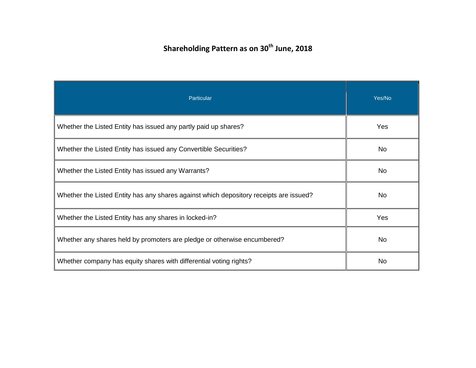## **Shareholding Pattern as on 30<sup>th</sup> June, 2018**

| Particular                                                                             | Yes/No    |
|----------------------------------------------------------------------------------------|-----------|
| Whether the Listed Entity has issued any partly paid up shares?                        | Yes       |
| Whether the Listed Entity has issued any Convertible Securities?                       | No        |
| Whether the Listed Entity has issued any Warrants?                                     | No        |
| Whether the Listed Entity has any shares against which depository receipts are issued? | No        |
| Whether the Listed Entity has any shares in locked-in?                                 | Yes       |
| Whether any shares held by promoters are pledge or otherwise encumbered?               | <b>No</b> |
| Whether company has equity shares with differential voting rights?                     | No.       |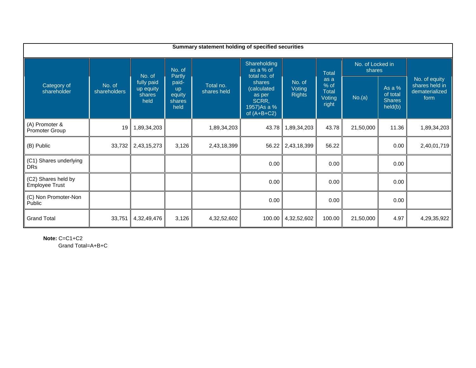| Summary statement holding of specified securities |                        |                                           |                                                |                          |                                                                           |                                   |                                          |                            |                                                |                                                           |  |
|---------------------------------------------------|------------------------|-------------------------------------------|------------------------------------------------|--------------------------|---------------------------------------------------------------------------|-----------------------------------|------------------------------------------|----------------------------|------------------------------------------------|-----------------------------------------------------------|--|
|                                                   |                        | No. of                                    | No. of<br>Partly                               |                          | Shareholding<br>as a % of<br>total no. of                                 |                                   | <b>Total</b>                             | No. of Locked in<br>shares |                                                |                                                           |  |
| Category of<br>shareholder                        | No. of<br>shareholders | fully paid<br>up equity<br>shares<br>held | paid-<br><b>up</b><br>equity<br>shares<br>held | Total no.<br>shares held | shares<br>(calculated<br>as per<br>SCRR,<br>1957) As a %<br>of $(A+B+C2)$ | No. of<br>Voting<br><b>Rights</b> | as a<br>% of<br>Total<br>Voting<br>right | No.(a)                     | As a %<br>of total<br><b>Shares</b><br>held(b) | No. of equity<br>shares held in<br>dematerialized<br>form |  |
| (A) Promoter &<br>Promoter Group                  | 19                     | 1,89,34,203                               |                                                | 1,89,34,203              | 43.78                                                                     | 1,89,34,203                       | 43.78                                    | 21,50,000                  | 11.36                                          | 1,89,34,203                                               |  |
| (B) Public                                        | 33,732                 | 2,43,15,273                               | 3,126                                          | 2,43,18,399              | 56.22                                                                     | 2,43,18,399                       | 56.22                                    |                            | 0.00                                           | 2,40,01,719                                               |  |
| (C1) Shares underlying<br><b>DRs</b>              |                        |                                           |                                                |                          | 0.00                                                                      |                                   | 0.00                                     |                            | 0.00                                           |                                                           |  |
| (C2) Shares held by<br><b>Employee Trust</b>      |                        |                                           |                                                |                          | 0.00                                                                      |                                   | 0.00                                     |                            | 0.00                                           |                                                           |  |
| (C) Non Promoter-Non<br>Public                    |                        |                                           |                                                |                          | 0.00                                                                      |                                   | 0.00                                     |                            | 0.00                                           |                                                           |  |
| <b>Grand Total</b>                                | 33,751                 | 4,32,49,476                               | 3,126                                          | 4,32,52,602              | 100.00                                                                    | 4,32,52,602                       | 100.00                                   | 21,50,000                  | 4.97                                           | 4,29,35,922                                               |  |

**Note:** C=C1+C2 Grand Total=A+B+C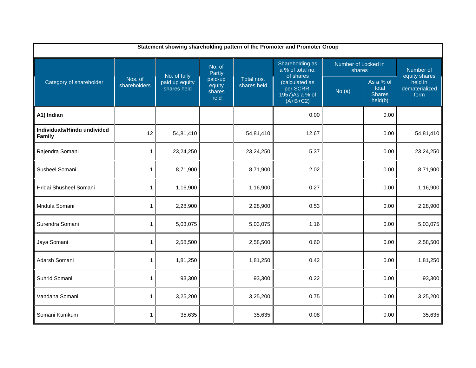| Statement showing shareholding pattern of the Promoter and Promoter Group |                         |                               |                                                         |                           |                                                              |                               |                                                |                                   |  |  |
|---------------------------------------------------------------------------|-------------------------|-------------------------------|---------------------------------------------------------|---------------------------|--------------------------------------------------------------|-------------------------------|------------------------------------------------|-----------------------------------|--|--|
|                                                                           |                         | No. of fully                  | No. of<br>Partly<br>paid-up<br>equity<br>shares<br>held | Total nos.<br>shares held | Shareholding as<br>a % of total no.<br>of shares             | Number of Locked in<br>shares | Number of<br>equity shares                     |                                   |  |  |
| Category of shareholder                                                   | Nos. of<br>shareholders | paid up equity<br>shares held |                                                         |                           | (calculated as<br>per SCRR,<br>1957) As a % of<br>$(A+B+C2)$ | No.(a)                        | As a % of<br>total<br><b>Shares</b><br>held(b) | held in<br>dematerialized<br>form |  |  |
| A1) Indian                                                                |                         |                               |                                                         |                           | 0.00                                                         |                               | 0.00                                           |                                   |  |  |
| Individuals/Hindu undivided<br>Family                                     | 12                      | 54,81,410                     |                                                         | 54,81,410                 | 12.67                                                        |                               | 0.00                                           | 54,81,410                         |  |  |
| Rajendra Somani                                                           | $\mathbf{1}$            | 23,24,250                     |                                                         | 23,24,250                 | 5.37                                                         |                               | 0.00                                           | 23,24,250                         |  |  |
| Susheel Somani                                                            | $\mathbf{1}$            | 8,71,900                      |                                                         | 8,71,900                  | 2.02                                                         |                               | 0.00                                           | 8,71,900                          |  |  |
| Hridai Shusheel Somani                                                    | 1                       | 1,16,900                      |                                                         | 1,16,900                  | 0.27                                                         |                               | 0.00                                           | 1,16,900                          |  |  |
| Mridula Somani                                                            | 1                       | 2,28,900                      |                                                         | 2,28,900                  | 0.53                                                         |                               | 0.00                                           | 2,28,900                          |  |  |
| Surendra Somani                                                           | $\mathbf{1}$            | 5,03,075                      |                                                         | 5,03,075                  | 1.16                                                         |                               | 0.00                                           | 5,03,075                          |  |  |
| Jaya Somani                                                               | $\mathbf{1}$            | 2,58,500                      |                                                         | 2,58,500                  | 0.60                                                         |                               | 0.00                                           | 2,58,500                          |  |  |
| Adarsh Somani                                                             | $\mathbf{1}$            | 1,81,250                      |                                                         | 1,81,250                  | 0.42                                                         |                               | 0.00                                           | 1,81,250                          |  |  |
| Suhrid Somani                                                             | 1                       | 93,300                        |                                                         | 93,300                    | 0.22                                                         |                               | 0.00                                           | 93,300                            |  |  |
| Vandana Somani                                                            | $\mathbf{1}$            | 3,25,200                      |                                                         | 3,25,200                  | 0.75                                                         |                               | 0.00                                           | 3,25,200                          |  |  |
| Somani Kumkum                                                             | 1                       | 35,635                        |                                                         | 35,635                    | 0.08                                                         |                               | 0.00                                           | 35,635                            |  |  |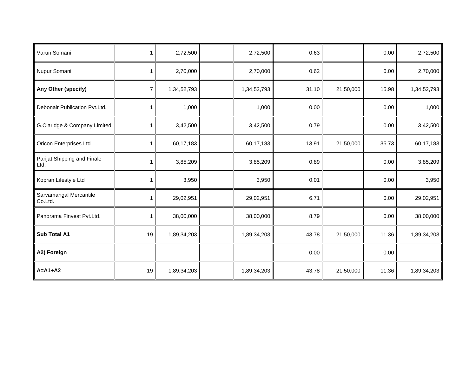| Varun Somani                        | 1              | 2,72,500    | 2,72,500    | 0.63  |           | 0.00  | 2,72,500    |
|-------------------------------------|----------------|-------------|-------------|-------|-----------|-------|-------------|
| Nupur Somani                        | 1              | 2,70,000    | 2,70,000    | 0.62  |           | 0.00  | 2,70,000    |
| Any Other (specify)                 | $\overline{7}$ | 1,34,52,793 | 1,34,52,793 | 31.10 | 21,50,000 | 15.98 | 1,34,52,793 |
| Debonair Publication Pvt.Ltd.       | 1              | 1,000       | 1,000       | 0.00  |           | 0.00  | 1,000       |
| G.Claridge & Company Limited        | 1              | 3,42,500    | 3,42,500    | 0.79  |           | 0.00  | 3,42,500    |
| Oricon Enterprises Ltd.             | 1              | 60,17,183   | 60,17,183   | 13.91 | 21,50,000 | 35.73 | 60,17,183   |
| Parijat Shipping and Finale<br>Ltd. |                | 3,85,209    | 3,85,209    | 0.89  |           | 0.00  | 3,85,209    |
| Kopran Lifestyle Ltd                | 1              | 3,950       | 3,950       | 0.01  |           | 0.00  | 3,950       |
| Sarvamangal Mercantile<br>Co.Ltd.   | 1              | 29,02,951   | 29,02,951   | 6.71  |           | 0.00  | 29,02,951   |
| Panorama Finvest Pvt.Ltd.           |                | 38,00,000   | 38,00,000   | 8.79  |           | 0.00  | 38,00,000   |
| Sub Total A1                        | 19             | 1,89,34,203 | 1,89,34,203 | 43.78 | 21,50,000 | 11.36 | 1,89,34,203 |
| A2) Foreign                         |                |             |             | 0.00  |           | 0.00  |             |
| $A=A1+A2$                           | 19             | 1,89,34,203 | 1,89,34,203 | 43.78 | 21,50,000 | 11.36 | 1,89,34,203 |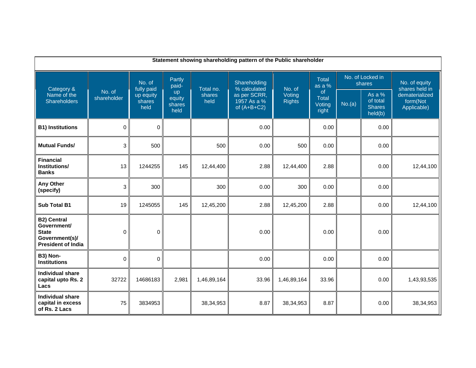| Statement showing shareholding pattern of the Public shareholder                                 |                                                                                                                                                                                                                                                                                       |             |                                       |             |                                                |                                           |                        |                            |      |                                 |  |  |
|--------------------------------------------------------------------------------------------------|---------------------------------------------------------------------------------------------------------------------------------------------------------------------------------------------------------------------------------------------------------------------------------------|-------------|---------------------------------------|-------------|------------------------------------------------|-------------------------------------------|------------------------|----------------------------|------|---------------------------------|--|--|
| Category &                                                                                       | Partly<br>No. of<br>Shareholding<br>paid-<br>fully paid<br>% calculated<br>No. of<br>Total no.<br>No. of<br>up<br>Voting<br>as per SCRR,<br>up equity<br>shares<br>shareholder<br>equity<br>1957 As a %<br><b>Rights</b><br>held<br>shares<br>shares<br>held<br>of $(A+B+C2)$<br>held |             |                                       |             |                                                |                                           | <b>Total</b><br>as a % | No. of Locked in<br>shares |      | No. of equity<br>shares held in |  |  |
| Name of the<br>Shareholders                                                                      |                                                                                                                                                                                                                                                                                       |             | of<br><b>Total</b><br>Voting<br>right | No.(a)      | As a %<br>of total<br><b>Shares</b><br>held(b) | dematerialized<br>form(Not<br>Applicable) |                        |                            |      |                                 |  |  |
| <b>B1) Institutions</b>                                                                          | $\pmb{0}$                                                                                                                                                                                                                                                                             | $\mathbf 0$ |                                       |             | 0.00                                           |                                           | 0.00                   |                            | 0.00 |                                 |  |  |
| <b>Mutual Funds/</b>                                                                             | 3                                                                                                                                                                                                                                                                                     | 500         |                                       | 500         | 0.00                                           | 500                                       | 0.00                   |                            | 0.00 |                                 |  |  |
| <b>Financial</b><br>Institutions/<br><b>Banks</b>                                                | 13                                                                                                                                                                                                                                                                                    | 1244255     | 145                                   | 12,44,400   | 2.88                                           | 12,44,400                                 | 2.88                   |                            | 0.00 | 12,44,100                       |  |  |
| Any Other<br>(specify)                                                                           | $\sqrt{3}$                                                                                                                                                                                                                                                                            | 300         |                                       | 300         | 0.00                                           | 300                                       | 0.00                   |                            | 0.00 |                                 |  |  |
| <b>Sub Total B1</b>                                                                              | 19                                                                                                                                                                                                                                                                                    | 1245055     | 145                                   | 12,45,200   | 2.88                                           | 12,45,200                                 | 2.88                   |                            | 0.00 | 12,44,100                       |  |  |
| <b>B2) Central</b><br>Government/<br><b>State</b><br>Government(s)/<br><b>President of India</b> | 0                                                                                                                                                                                                                                                                                     | $\mathbf 0$ |                                       |             | 0.00                                           |                                           | 0.00                   |                            | 0.00 |                                 |  |  |
| B3) Non-<br><b>Institutions</b>                                                                  | $\mathbf 0$                                                                                                                                                                                                                                                                           | $\mathbf 0$ |                                       |             | 0.00                                           |                                           | 0.00                   |                            | 0.00 |                                 |  |  |
| <b>Individual share</b><br>capital upto Rs. 2<br>Lacs                                            | 32722                                                                                                                                                                                                                                                                                 | 14686183    | 2,981                                 | 1,46,89,164 | 33.96                                          | 1,46,89,164                               | 33.96                  |                            | 0.00 | 1,43,93,535                     |  |  |
| <b>Individual share</b><br>capital in excess<br>of Rs. 2 Lacs                                    | 75                                                                                                                                                                                                                                                                                    | 3834953     |                                       | 38, 34, 953 | 8.87                                           | 38,34,953                                 | 8.87                   |                            | 0.00 | 38,34,953                       |  |  |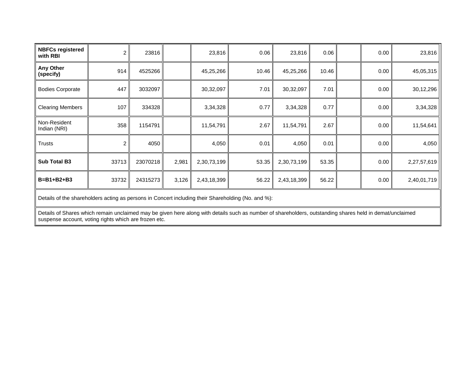| <b>NBFCs registered</b><br>with RBI | $\overline{c}$ | 23816    |       | 23,816      | 0.06  | 23,816      | 0.06  | 0.00 | 23,816      |
|-------------------------------------|----------------|----------|-------|-------------|-------|-------------|-------|------|-------------|
| Any Other<br>(specify)              | 914            | 4525266  |       | 45,25,266   | 10.46 | 45,25,266   | 10.46 | 0.00 | 45,05,315   |
| <b>Bodies Corporate</b>             | 447            | 3032097  |       | 30,32,097   | 7.01  | 30,32,097   | 7.01  | 0.00 | 30,12,296   |
| <b>Clearing Members</b>             | 107            | 334328   |       | 3,34,328    | 0.77  | 3,34,328    | 0.77  | 0.00 | 3,34,328    |
| Non-Resident<br>Indian (NRI)        | 358            | 1154791  |       | 11,54,791   | 2.67  | 11,54,791   | 2.67  | 0.00 | 11,54,641   |
| <b>Trusts</b>                       | 2              | 4050     |       | 4,050       | 0.01  | 4,050       | 0.01  | 0.00 | 4,050       |
| Sub Total B3                        | 33713          | 23070218 | 2,981 | 2,30,73,199 | 53.35 | 2,30,73,199 | 53.35 | 0.00 | 2,27,57,619 |
| $B = B1 + B2 + B3$                  | 33732          | 24315273 | 3,126 | 2,43,18,399 | 56.22 | 2,43,18,399 | 56.22 | 0.00 | 2,40,01,719 |

Details of the shareholders acting as persons in Concert including their Shareholding (No. and %):

Details of Shares which remain unclaimed may be given here along with details such as number of shareholders, outstanding shares held in demat/unclaimed suspense account, voting rights which are frozen etc.